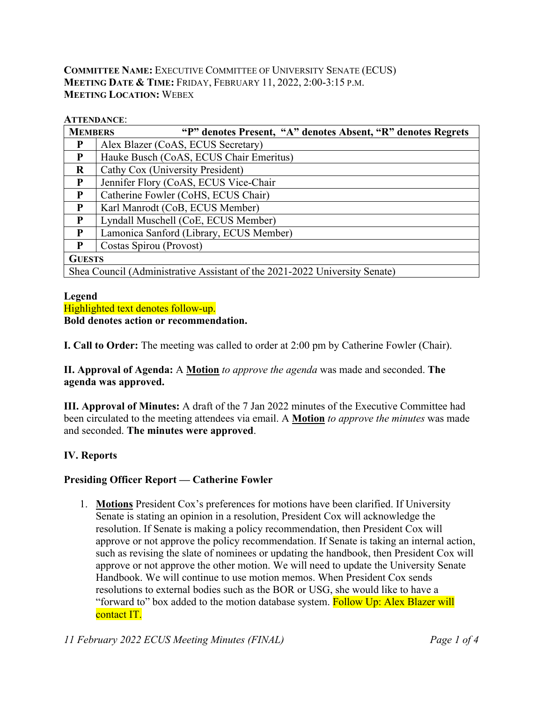## **COMMITTEE NAME:** EXECUTIVE COMMITTEE OF UNIVERSITY SENATE (ECUS) **MEETING DATE & TIME:** FRIDAY, FEBRUARY 11, 2022, 2:00-3:15 P.M. **MEETING LOCATION:** WEBEX

### **ATTENDANCE**:

| <b>MEMBERS</b>                                                             | "P" denotes Present, "A" denotes Absent, "R" denotes Regrets |  |  |  |  |  |  |  |  |
|----------------------------------------------------------------------------|--------------------------------------------------------------|--|--|--|--|--|--|--|--|
| P                                                                          | Alex Blazer (CoAS, ECUS Secretary)                           |  |  |  |  |  |  |  |  |
| $\mathbf{P}$                                                               | Hauke Busch (CoAS, ECUS Chair Emeritus)                      |  |  |  |  |  |  |  |  |
| $\bf{R}$                                                                   | Cathy Cox (University President)                             |  |  |  |  |  |  |  |  |
| P                                                                          | Jennifer Flory (CoAS, ECUS Vice-Chair                        |  |  |  |  |  |  |  |  |
| P                                                                          | Catherine Fowler (CoHS, ECUS Chair)                          |  |  |  |  |  |  |  |  |
| P                                                                          | Karl Manrodt (CoB, ECUS Member)                              |  |  |  |  |  |  |  |  |
| $\mathbf{P}$                                                               | Lyndall Muschell (CoE, ECUS Member)                          |  |  |  |  |  |  |  |  |
| P                                                                          | Lamonica Sanford (Library, ECUS Member)                      |  |  |  |  |  |  |  |  |
| P                                                                          | Costas Spirou (Provost)                                      |  |  |  |  |  |  |  |  |
| <b>GUESTS</b>                                                              |                                                              |  |  |  |  |  |  |  |  |
| Shea Council (Administrative Assistant of the 2021-2022 University Senate) |                                                              |  |  |  |  |  |  |  |  |

### **Legend**

Highlighted text denotes follow-up.

### **Bold denotes action or recommendation.**

**I. Call to Order:** The meeting was called to order at 2:00 pm by Catherine Fowler (Chair).

**II. Approval of Agenda:** A **Motion** *to approve the agenda* was made and seconded. **The agenda was approved.**

**III. Approval of Minutes:** A draft of the 7 Jan 2022 minutes of the Executive Committee had been circulated to the meeting attendees via email. A **Motion** *to approve the minutes* was made and seconded. **The minutes were approved**.

## **IV. Reports**

## **Presiding Officer Report — Catherine Fowler**

1. **Motions** President Cox's preferences for motions have been clarified. If University Senate is stating an opinion in a resolution, President Cox will acknowledge the resolution. If Senate is making a policy recommendation, then President Cox will approve or not approve the policy recommendation. If Senate is taking an internal action, such as revising the slate of nominees or updating the handbook, then President Cox will approve or not approve the other motion. We will need to update the University Senate Handbook. We will continue to use motion memos. When President Cox sends resolutions to external bodies such as the BOR or USG, she would like to have a "forward to" box added to the motion database system. Follow Up: Alex Blazer will contact IT.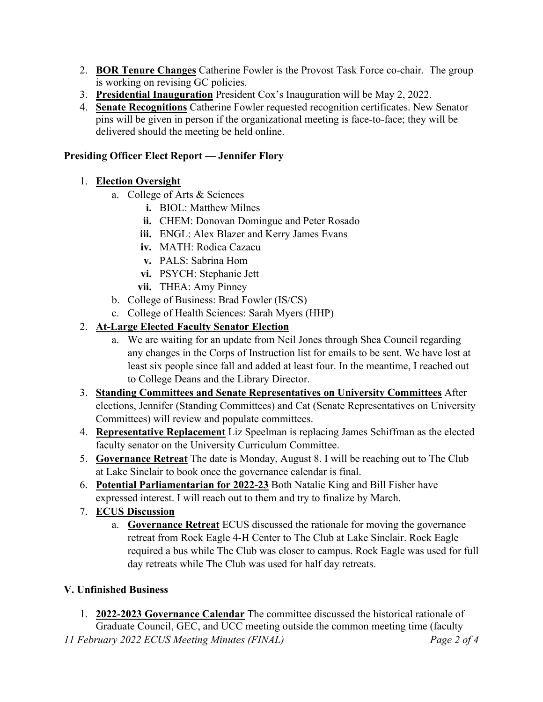- 2. **BOR Tenure Changes** Catherine Fowler is the Provost Task Force co-chair. The group is working on revising GC policies.
- 3. **Presidential Inauguration** President Cox's Inauguration will be May 2, 2022.
- 4. **Senate Recognitions** Catherine Fowler requested recognition certificates. New Senator pins will be given in person if the organizational meeting is face-to-face; they will be delivered should the meeting be held online.

## **Presiding Officer Elect Report — Jennifer Flory**

# 1. **Election Oversight**

- a. College of Arts & Sciences
	- **i.** BIOL: Matthew Milnes
	- **ii.** CHEM: Donovan Domingue and Peter Rosado
	- **iii.** ENGL: Alex Blazer and Kerry James Evans
	- **iv.** MATH: Rodica Cazacu
	- **v.** PALS: Sabrina Hom
	- **vi.** PSYCH: Stephanie Jett
	- **vii.** THEA: Amy Pinney
- b. College of Business: Brad Fowler (IS/CS)
- c. College of Health Sciences: Sarah Myers (HHP)

# 2. **At-Large Elected Faculty Senator Election**

- a. We are waiting for an update from Neil Jones through Shea Council regarding any changes in the Corps of Instruction list for emails to be sent. We have lost at least six people since fall and added at least four. In the meantime, I reached out to College Deans and the Library Director.
- 3. **Standing Committees and Senate Representatives on University Committees** After elections, Jennifer (Standing Committees) and Cat (Senate Representatives on University Committees) will review and populate committees.
- 4. **Representative Replacement** Liz Speelman is replacing James Schiffman as the elected faculty senator on the University Curriculum Committee.
- 5. **Governance Retreat** The date is Monday, August 8. I will be reaching out to The Club at Lake Sinclair to book once the governance calendar is final.
- 6. **Potential Parliamentarian for 2022-23** Both Natalie King and Bill Fisher have expressed interest. I will reach out to them and try to finalize by March.
- 7. **ECUS Discussion**
	- a. **Governance Retreat** ECUS discussed the rationale for moving the governance retreat from Rock Eagle 4-H Center to The Club at Lake Sinclair. Rock Eagle required a bus while The Club was closer to campus. Rock Eagle was used for full day retreats while The Club was used for half day retreats.

# **V. Unfinished Business**

1. **2022-2023 Governance Calendar** The committee discussed the historical rationale of Graduate Council, GEC, and UCC meeting outside the common meeting time (faculty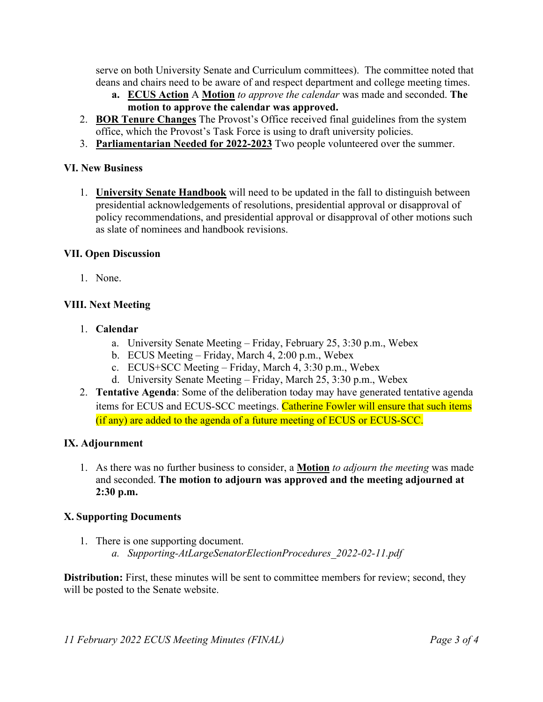serve on both University Senate and Curriculum committees). The committee noted that deans and chairs need to be aware of and respect department and college meeting times.

- **a. ECUS Action** A **Motion** *to approve the calendar* was made and seconded. **The motion to approve the calendar was approved.**
- 2. **BOR Tenure Changes** The Provost's Office received final guidelines from the system office, which the Provost's Task Force is using to draft university policies.
- 3. **Parliamentarian Needed for 2022-2023** Two people volunteered over the summer.

## **VI. New Business**

1. **University Senate Handbook** will need to be updated in the fall to distinguish between presidential acknowledgements of resolutions, presidential approval or disapproval of policy recommendations, and presidential approval or disapproval of other motions such as slate of nominees and handbook revisions.

## **VII. Open Discussion**

1. None.

## **VIII. Next Meeting**

- 1. **Calendar**
	- a. University Senate Meeting Friday, February 25, 3:30 p.m., Webex
	- b. ECUS Meeting Friday, March 4, 2:00 p.m., Webex
	- c. ECUS+SCC Meeting Friday, March 4, 3:30 p.m., Webex
	- d. University Senate Meeting Friday, March 25, 3:30 p.m., Webex
- 2. **Tentative Agenda**: Some of the deliberation today may have generated tentative agenda items for ECUS and ECUS-SCC meetings. Catherine Fowler will ensure that such items (if any) are added to the agenda of a future meeting of ECUS or ECUS-SCC.

## **IX. Adjournment**

1. As there was no further business to consider, a **Motion** *to adjourn the meeting* was made and seconded. **The motion to adjourn was approved and the meeting adjourned at 2:30 p.m.**

## **X. Supporting Documents**

1. There is one supporting document. *a. Supporting-AtLargeSenatorElectionProcedures\_2022-02-11.pdf*

**Distribution:** First, these minutes will be sent to committee members for review; second, they will be posted to the Senate website.